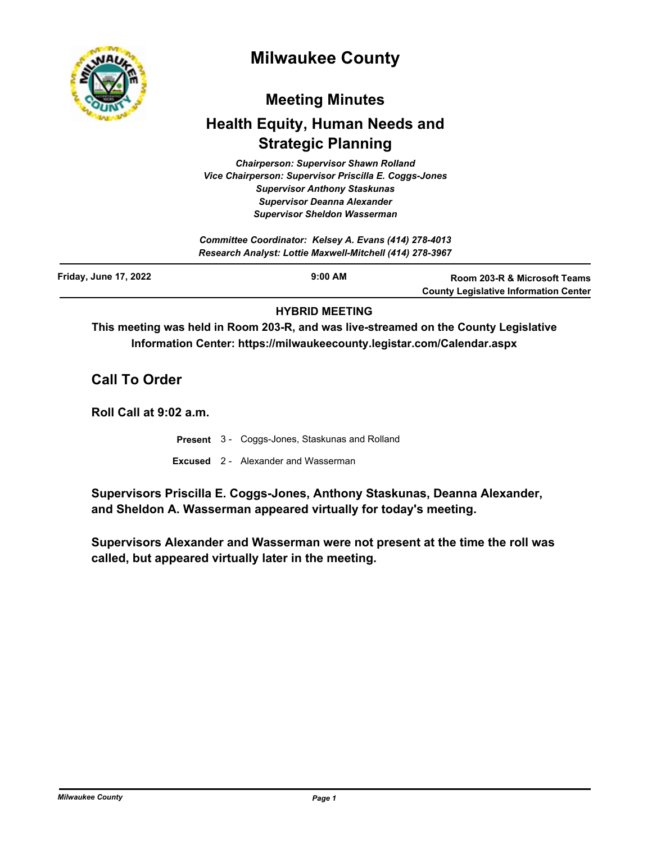

# **Milwaukee County**

# **Meeting Minutes**

# **Health Equity, Human Needs and Strategic Planning**

*Chairperson: Supervisor Shawn Rolland Vice Chairperson: Supervisor Priscilla E. Coggs-Jones Supervisor Anthony Staskunas Supervisor Deanna Alexander Supervisor Sheldon Wasserman*

|                              | Committee Coordinator: Kelsey A. Evans (414) 278-4013<br>Research Analyst: Lottie Maxwell-Mitchell (414) 278-3967 |                                                                                         |
|------------------------------|-------------------------------------------------------------------------------------------------------------------|-----------------------------------------------------------------------------------------|
| <b>Friday, June 17, 2022</b> | $9:00$ AM                                                                                                         | <b>Room 203-R &amp; Microsoft Teams</b><br><b>County Legislative Information Center</b> |

# **HYBRID MEETING**

**This meeting was held in Room 203-R, and was live-streamed on the County Legislative Information Center: https://milwaukeecounty.legistar.com/Calendar.aspx**

**Call To Order**

**Roll Call at 9:02 a.m.**

- **Present** 3 Coggs-Jones, Staskunas and Rolland
- **Excused** 2 Alexander and Wasserman

**Supervisors Priscilla E. Coggs-Jones, Anthony Staskunas, Deanna Alexander, and Sheldon A. Wasserman appeared virtually for today's meeting.**

**Supervisors Alexander and Wasserman were not present at the time the roll was called, but appeared virtually later in the meeting.**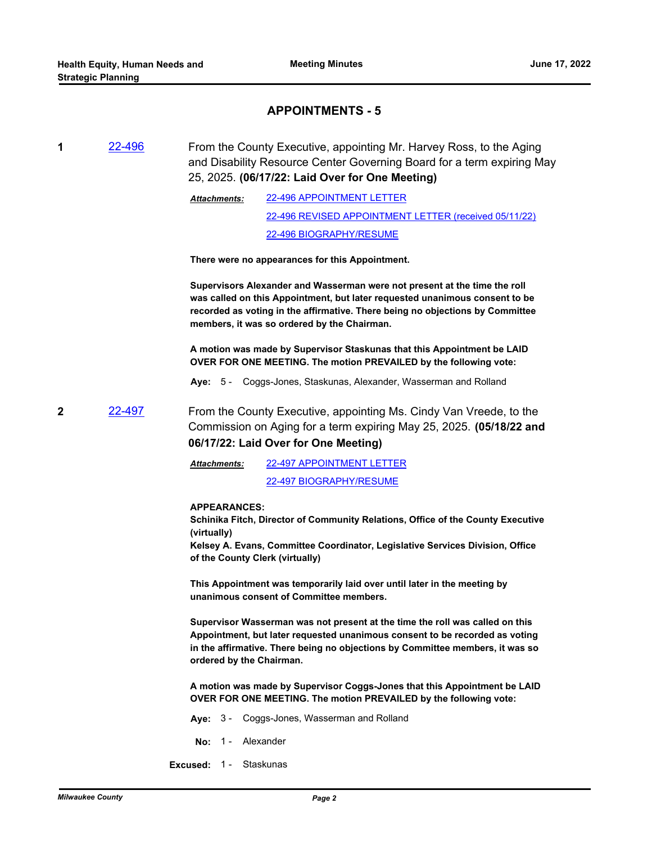## **APPOINTMENTS - 5**

**1** [22-496](http://milwaukeecounty.legistar.com/gateway.aspx?m=l&id=/matter.aspx?key=12153) From the County Executive, appointing Mr. Harvey Ross, to the Aging and Disability Resource Center Governing Board for a term expiring May 25, 2025. **(06/17/22: Laid Over for One Meeting)**

> [22-496 APPOINTMENT LETTER](http://MilwaukeeCounty.legistar.com/gateway.aspx?M=F&ID=3aa361e7-f126-4432-9890-a5e6b06921cd.pdf) [22-496 REVISED APPOINTMENT LETTER \(received 05/11/22\)](http://MilwaukeeCounty.legistar.com/gateway.aspx?M=F&ID=286e928d-38b3-4f1a-89ec-8c5cddae2a44.pdf) [22-496 BIOGRAPHY/RESUME](http://MilwaukeeCounty.legistar.com/gateway.aspx?M=F&ID=1b3781e0-d2bd-454a-8379-2402f46085cc.pdf) *Attachments:*

**There were no appearances for this Appointment.**

**Supervisors Alexander and Wasserman were not present at the time the roll was called on this Appointment, but later requested unanimous consent to be recorded as voting in the affirmative. There being no objections by Committee members, it was so ordered by the Chairman.**

**A motion was made by Supervisor Staskunas that this Appointment be LAID OVER FOR ONE MEETING. The motion PREVAILED by the following vote:**

**Aye:** 5 - Coggs-Jones, Staskunas, Alexander, Wasserman and Rolland

**2** [22-497](http://milwaukeecounty.legistar.com/gateway.aspx?m=l&id=/matter.aspx?key=12154) From the County Executive, appointing Ms. Cindy Van Vreede, to the Commission on Aging for a term expiring May 25, 2025. **(05/18/22 and 06/17/22: Laid Over for One Meeting)**

> [22-497 APPOINTMENT LETTER](http://MilwaukeeCounty.legistar.com/gateway.aspx?M=F&ID=3d79acd6-565b-4db6-aabf-2e3d17107d9f.pdf) *Attachments:*

[22-497 BIOGRAPHY/RESUME](http://MilwaukeeCounty.legistar.com/gateway.aspx?M=F&ID=ddaa78d9-256e-4ac5-b3ce-41105c8efe40.pdf)

#### **APPEARANCES:**

**Schinika Fitch, Director of Community Relations, Office of the County Executive (virtually)**

**Kelsey A. Evans, Committee Coordinator, Legislative Services Division, Office of the County Clerk (virtually)**

**This Appointment was temporarily laid over until later in the meeting by unanimous consent of Committee members.**

**Supervisor Wasserman was not present at the time the roll was called on this Appointment, but later requested unanimous consent to be recorded as voting in the affirmative. There being no objections by Committee members, it was so ordered by the Chairman.**

**A motion was made by Supervisor Coggs-Jones that this Appointment be LAID OVER FOR ONE MEETING. The motion PREVAILED by the following vote:**

- **Aye:** 3 Coggs-Jones, Wasserman and Rolland
- No: 1 Alexander
- **Excused:** 1 Staskunas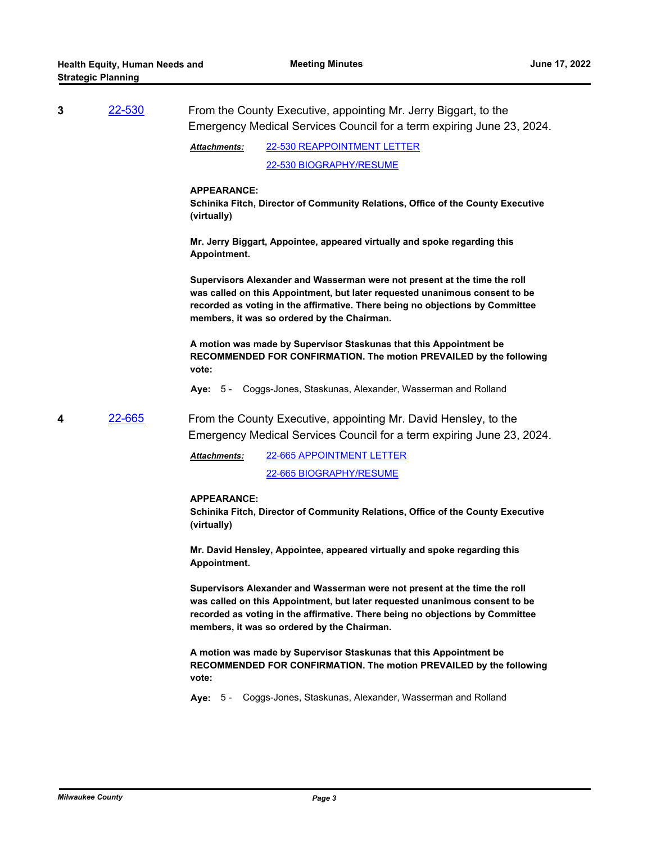| 3 | <u>22-530</u> | From the County Executive, appointing Mr. Jerry Biggart, to the<br>Emergency Medical Services Council for a term expiring June 23, 2024.                                                                                                                                                 |
|---|---------------|------------------------------------------------------------------------------------------------------------------------------------------------------------------------------------------------------------------------------------------------------------------------------------------|
|   |               | 22-530 REAPPOINTMENT LETTER<br>Attachments:                                                                                                                                                                                                                                              |
|   |               | 22-530 BIOGRAPHY/RESUME                                                                                                                                                                                                                                                                  |
|   |               | <b>APPEARANCE:</b><br>Schinika Fitch, Director of Community Relations, Office of the County Executive<br>(virtually)                                                                                                                                                                     |
|   |               | Mr. Jerry Biggart, Appointee, appeared virtually and spoke regarding this<br>Appointment.                                                                                                                                                                                                |
|   |               | Supervisors Alexander and Wasserman were not present at the time the roll<br>was called on this Appointment, but later requested unanimous consent to be<br>recorded as voting in the affirmative. There being no objections by Committee<br>members, it was so ordered by the Chairman. |
|   |               | A motion was made by Supervisor Staskunas that this Appointment be<br>RECOMMENDED FOR CONFIRMATION. The motion PREVAILED by the following<br>vote:                                                                                                                                       |
|   |               | Aye: 5 - Coggs-Jones, Staskunas, Alexander, Wasserman and Rolland                                                                                                                                                                                                                        |
| 4 | 22-665        | From the County Executive, appointing Mr. David Hensley, to the<br>Emergency Medical Services Council for a term expiring June 23, 2024.                                                                                                                                                 |
|   |               | 22-665 APPOINTMENT LETTER<br>Attachments:                                                                                                                                                                                                                                                |
|   |               | 22-665 BIOGRAPHY/RESUME                                                                                                                                                                                                                                                                  |
|   |               | <b>APPEARANCE:</b><br>Schinika Fitch, Director of Community Relations, Office of the County Executive<br>(virtually)                                                                                                                                                                     |
|   |               | Mr. David Hensley, Appointee, appeared virtually and spoke regarding this<br>Appointment.                                                                                                                                                                                                |
|   |               | Supervisors Alexander and Wasserman were not present at the time the roll<br>was called on this Appointment, but later requested unanimous consent to be<br>recorded as voting in the affirmative. There being no objections by Committee<br>members, it was so ordered by the Chairman. |
|   |               | A motion was made by Supervisor Staskunas that this Appointment be<br>RECOMMENDED FOR CONFIRMATION. The motion PREVAILED by the following<br>vote:                                                                                                                                       |
|   |               | Aye: 5 - Coggs-Jones, Staskunas, Alexander, Wasserman and Rolland                                                                                                                                                                                                                        |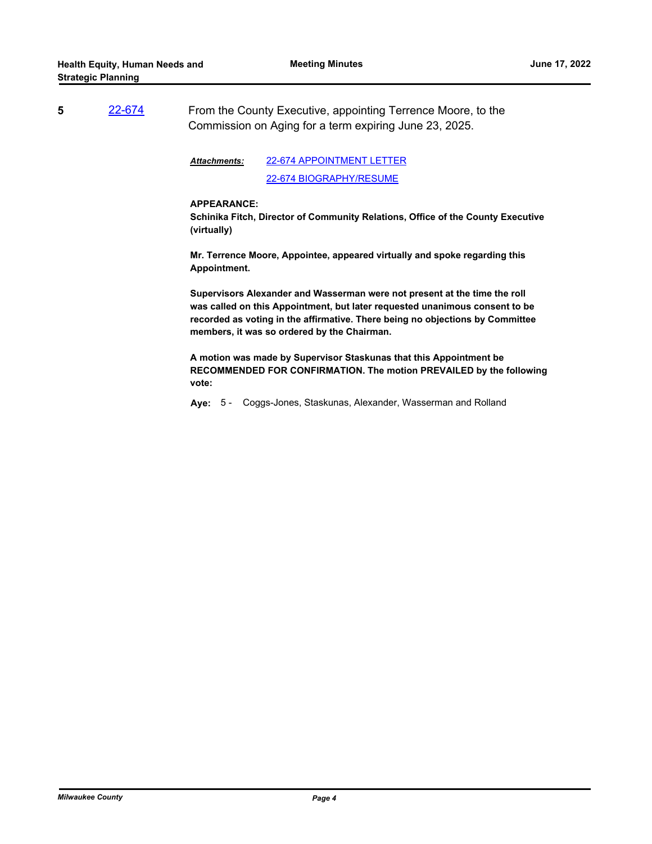**5** [22-674](http://milwaukeecounty.legistar.com/gateway.aspx?m=l&id=/matter.aspx?key=12372) From the County Executive, appointing Terrence Moore, to the Commission on Aging for a term expiring June 23, 2025.

> [22-674 APPOINTMENT LETTER](http://MilwaukeeCounty.legistar.com/gateway.aspx?M=F&ID=f775269f-6cfb-4751-bd79-5e8ce521fd67.pdf) [22-674 BIOGRAPHY/RESUME](http://MilwaukeeCounty.legistar.com/gateway.aspx?M=F&ID=506d4eac-4c9e-4fb4-abea-7355947ab924.pdf) *Attachments:*

#### **APPEARANCE:**

**Schinika Fitch, Director of Community Relations, Office of the County Executive (virtually)**

**Mr. Terrence Moore, Appointee, appeared virtually and spoke regarding this Appointment.**

**Supervisors Alexander and Wasserman were not present at the time the roll was called on this Appointment, but later requested unanimous consent to be recorded as voting in the affirmative. There being no objections by Committee members, it was so ordered by the Chairman.**

**A motion was made by Supervisor Staskunas that this Appointment be RECOMMENDED FOR CONFIRMATION. The motion PREVAILED by the following vote:**

**Aye:** 5 - Coggs-Jones, Staskunas, Alexander, Wasserman and Rolland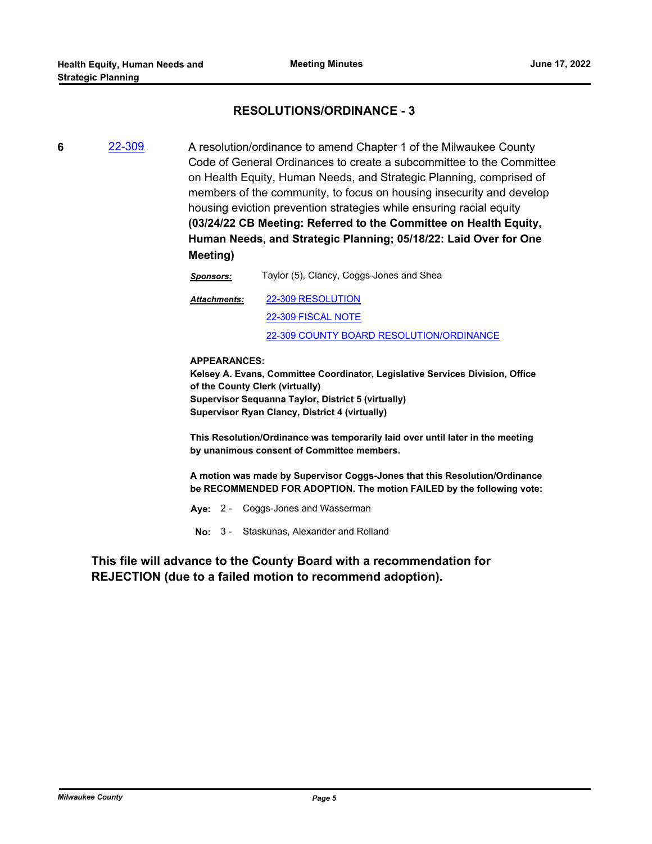# **RESOLUTIONS/ORDINANCE - 3**

**6** [22-309](http://milwaukeecounty.legistar.com/gateway.aspx?m=l&id=/matter.aspx?key=11917) A resolution/ordinance to amend Chapter 1 of the Milwaukee County Code of General Ordinances to create a subcommittee to the Committee on Health Equity, Human Needs, and Strategic Planning, comprised of members of the community, to focus on housing insecurity and develop housing eviction prevention strategies while ensuring racial equity **(03/24/22 CB Meeting: Referred to the Committee on Health Equity, Human Needs, and Strategic Planning; 05/18/22: Laid Over for One Meeting)**

> *Sponsors:* Taylor (5), Clancy, Coggs-Jones and Shea [22-309 RESOLUTION](http://MilwaukeeCounty.legistar.com/gateway.aspx?M=F&ID=908ac4eb-d5bd-49a4-8997-f07c5b4897c0.docx) [22-309 FISCAL NOTE](http://MilwaukeeCounty.legistar.com/gateway.aspx?M=F&ID=be5d833a-70a9-4f94-b343-aaa09d238809.pdf) [22-309 COUNTY BOARD RESOLUTION/ORDINANCE](http://MilwaukeeCounty.legistar.com/gateway.aspx?M=F&ID=bb206fcb-0028-4825-b68b-7f7ca23e07dd.pdf) *Attachments:*

## **APPEARANCES:**

**Kelsey A. Evans, Committee Coordinator, Legislative Services Division, Office of the County Clerk (virtually) Supervisor Sequanna Taylor, District 5 (virtually) Supervisor Ryan Clancy, District 4 (virtually)**

**This Resolution/Ordinance was temporarily laid over until later in the meeting by unanimous consent of Committee members.**

**A motion was made by Supervisor Coggs-Jones that this Resolution/Ordinance be RECOMMENDED FOR ADOPTION. The motion FAILED by the following vote:**

**Aye:** 2 - Coggs-Jones and Wasserman

**No:** 3 - Staskunas, Alexander and Rolland

**This file will advance to the County Board with a recommendation for REJECTION (due to a failed motion to recommend adoption).**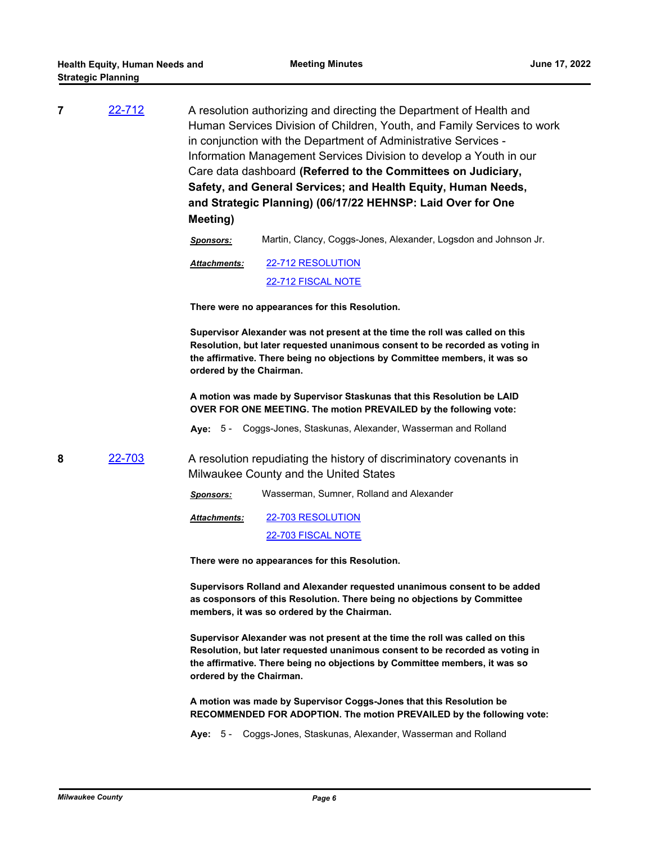| $\overline{7}$ | 22-712 | A resolution authorizing and directing the Department of Health and     |
|----------------|--------|-------------------------------------------------------------------------|
|                |        | Human Services Division of Children, Youth, and Family Services to work |
|                |        | in conjunction with the Department of Administrative Services -         |
|                |        | Information Management Services Division to develop a Youth in our      |
|                |        | Care data dashboard (Referred to the Committees on Judiciary,           |
|                |        | Safety, and General Services; and Health Equity, Human Needs,           |
|                |        | and Strategic Planning) (06/17/22 HEHNSP: Laid Over for One             |
|                |        | Meeting)                                                                |

*Sponsors:* Martin, Clancy, Coggs-Jones, Alexander, Logsdon and Johnson Jr.

[22-712 RESOLUTION](http://MilwaukeeCounty.legistar.com/gateway.aspx?M=F&ID=dd78eaf1-c607-4ef5-9595-748ac663e145.docx) [22-712 FISCAL NOTE](http://MilwaukeeCounty.legistar.com/gateway.aspx?M=F&ID=1ef08ae8-561f-41bb-87bf-af01b345001d.pdf) *Attachments:*

**There were no appearances for this Resolution.**

**Supervisor Alexander was not present at the time the roll was called on this Resolution, but later requested unanimous consent to be recorded as voting in the affirmative. There being no objections by Committee members, it was so ordered by the Chairman.**

**A motion was made by Supervisor Staskunas that this Resolution be LAID OVER FOR ONE MEETING. The motion PREVAILED by the following vote:**

**Aye:** 5 - Coggs-Jones, Staskunas, Alexander, Wasserman and Rolland

**8** [22-703](http://milwaukeecounty.legistar.com/gateway.aspx?m=l&id=/matter.aspx?key=12402) A resolution repudiating the history of discriminatory covenants in Milwaukee County and the United States

*Sponsors:* Wasserman, Sumner, Rolland and Alexander

[22-703 RESOLUTION](http://MilwaukeeCounty.legistar.com/gateway.aspx?M=F&ID=2da3d02c-deb0-4d5d-92c7-e3289c34568e.docx) [22-703 FISCAL NOTE](http://MilwaukeeCounty.legistar.com/gateway.aspx?M=F&ID=e1334af0-14e6-470b-83f8-fd7a70ba2617.pdf) *Attachments:*

**There were no appearances for this Resolution.**

**Supervisors Rolland and Alexander requested unanimous consent to be added as cosponsors of this Resolution. There being no objections by Committee members, it was so ordered by the Chairman.**

**Supervisor Alexander was not present at the time the roll was called on this Resolution, but later requested unanimous consent to be recorded as voting in the affirmative. There being no objections by Committee members, it was so ordered by the Chairman.**

**A motion was made by Supervisor Coggs-Jones that this Resolution be RECOMMENDED FOR ADOPTION. The motion PREVAILED by the following vote:**

**Aye:** 5 - Coggs-Jones, Staskunas, Alexander, Wasserman and Rolland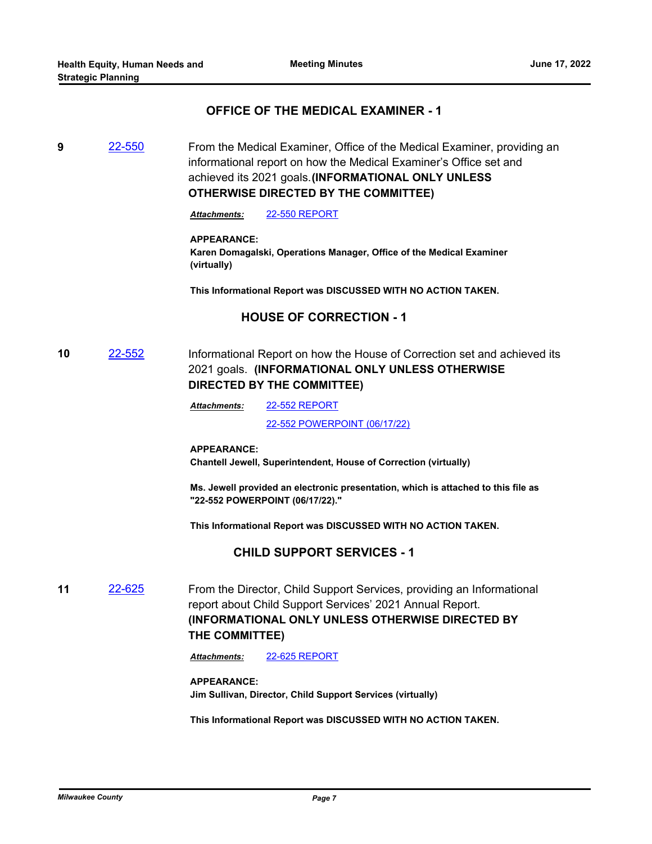# **OFFICE OF THE MEDICAL EXAMINER - 1**

**9** [22-550](http://milwaukeecounty.legistar.com/gateway.aspx?m=l&id=/matter.aspx?key=12210) From the Medical Examiner, Office of the Medical Examiner, providing an informational report on how the Medical Examiner's Office set and achieved its 2021 goals.**(INFORMATIONAL ONLY UNLESS OTHERWISE DIRECTED BY THE COMMITTEE)**

*Attachments:* [22-550 REPORT](http://MilwaukeeCounty.legistar.com/gateway.aspx?M=F&ID=df4160cb-8a34-49c4-a21a-64ed5b854132.pdf)

## **APPEARANCE:**

**Karen Domagalski, Operations Manager, Office of the Medical Examiner (virtually)**

**This Informational Report was DISCUSSED WITH NO ACTION TAKEN.**

# **HOUSE OF CORRECTION - 1**

**10** [22-552](http://milwaukeecounty.legistar.com/gateway.aspx?m=l&id=/matter.aspx?key=12212) Informational Report on how the House of Correction set and achieved its 2021 goals. **(INFORMATIONAL ONLY UNLESS OTHERWISE DIRECTED BY THE COMMITTEE)**

> [22-552 REPORT](http://MilwaukeeCounty.legistar.com/gateway.aspx?M=F&ID=e7f62ae3-1988-417d-974b-8328b14a48d0.pdf) [22-552 POWERPOINT \(06/17/22\)](http://MilwaukeeCounty.legistar.com/gateway.aspx?M=F&ID=894b86d1-ec57-405d-b99f-4801957ac33f.pptx) *Attachments:*

## **APPEARANCE:**

**Chantell Jewell, Superintendent, House of Correction (virtually)**

**Ms. Jewell provided an electronic presentation, which is attached to this file as "22-552 POWERPOINT (06/17/22)."**

**This Informational Report was DISCUSSED WITH NO ACTION TAKEN.**

## **CHILD SUPPORT SERVICES - 1**

**11** [22-625](http://milwaukeecounty.legistar.com/gateway.aspx?m=l&id=/matter.aspx?key=12285) From the Director, Child Support Services, providing an Informational report about Child Support Services' 2021 Annual Report. **(INFORMATIONAL ONLY UNLESS OTHERWISE DIRECTED BY THE COMMITTEE)**

*Attachments:* [22-625 REPORT](http://MilwaukeeCounty.legistar.com/gateway.aspx?M=F&ID=06162950-68a6-4039-8915-1aaa99072cd5.pdf)

## **APPEARANCE:**

**Jim Sullivan, Director, Child Support Services (virtually)**

**This Informational Report was DISCUSSED WITH NO ACTION TAKEN.**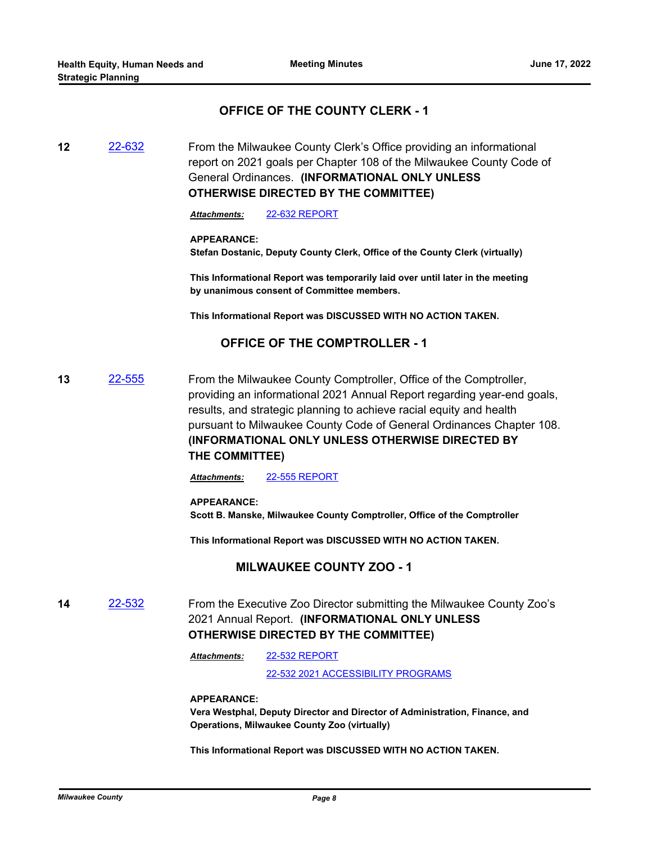# **OFFICE OF THE COUNTY CLERK - 1**

**12** [22-632](http://milwaukeecounty.legistar.com/gateway.aspx?m=l&id=/matter.aspx?key=12297) From the Milwaukee County Clerk's Office providing an informational report on 2021 goals per Chapter 108 of the Milwaukee County Code of General Ordinances. **(INFORMATIONAL ONLY UNLESS OTHERWISE DIRECTED BY THE COMMITTEE)** 

*Attachments:* [22-632 REPORT](http://MilwaukeeCounty.legistar.com/gateway.aspx?M=F&ID=ef1c6995-c088-4cdc-966e-84fe195c2948.pdf)

### **APPEARANCE:**

**Stefan Dostanic, Deputy County Clerk, Office of the County Clerk (virtually)**

**This Informational Report was temporarily laid over until later in the meeting by unanimous consent of Committee members.**

**This Informational Report was DISCUSSED WITH NO ACTION TAKEN.**

# **OFFICE OF THE COMPTROLLER - 1**

**13** [22-555](http://milwaukeecounty.legistar.com/gateway.aspx?m=l&id=/matter.aspx?key=12215) From the Milwaukee County Comptroller, Office of the Comptroller, providing an informational 2021 Annual Report regarding year-end goals, results, and strategic planning to achieve racial equity and health pursuant to Milwaukee County Code of General Ordinances Chapter 108. **(INFORMATIONAL ONLY UNLESS OTHERWISE DIRECTED BY THE COMMITTEE)**

*Attachments:* [22-555 REPORT](http://MilwaukeeCounty.legistar.com/gateway.aspx?M=F&ID=11edbde2-a024-460f-a8b0-73409852fc26.pdf)

## **APPEARANCE:**

**Scott B. Manske, Milwaukee County Comptroller, Office of the Comptroller**

**This Informational Report was DISCUSSED WITH NO ACTION TAKEN.**

## **MILWAUKEE COUNTY ZOO - 1**

**14** [22-532](http://milwaukeecounty.legistar.com/gateway.aspx?m=l&id=/matter.aspx?key=12192) From the Executive Zoo Director submitting the Milwaukee County Zoo's 2021 Annual Report. **(INFORMATIONAL ONLY UNLESS OTHERWISE DIRECTED BY THE COMMITTEE)**

> [22-532 REPORT](http://MilwaukeeCounty.legistar.com/gateway.aspx?M=F&ID=60f4ce76-456a-4b26-a9b3-151d87a4383c.pdf) [22-532 2021 ACCESSIBILITY PROGRAMS](http://MilwaukeeCounty.legistar.com/gateway.aspx?M=F&ID=db156347-b554-4a18-987d-e8b05c844714.pdf) *Attachments:*

**APPEARANCE:**

**Vera Westphal, Deputy Director and Director of Administration, Finance, and Operations, Milwaukee County Zoo (virtually)**

**This Informational Report was DISCUSSED WITH NO ACTION TAKEN.**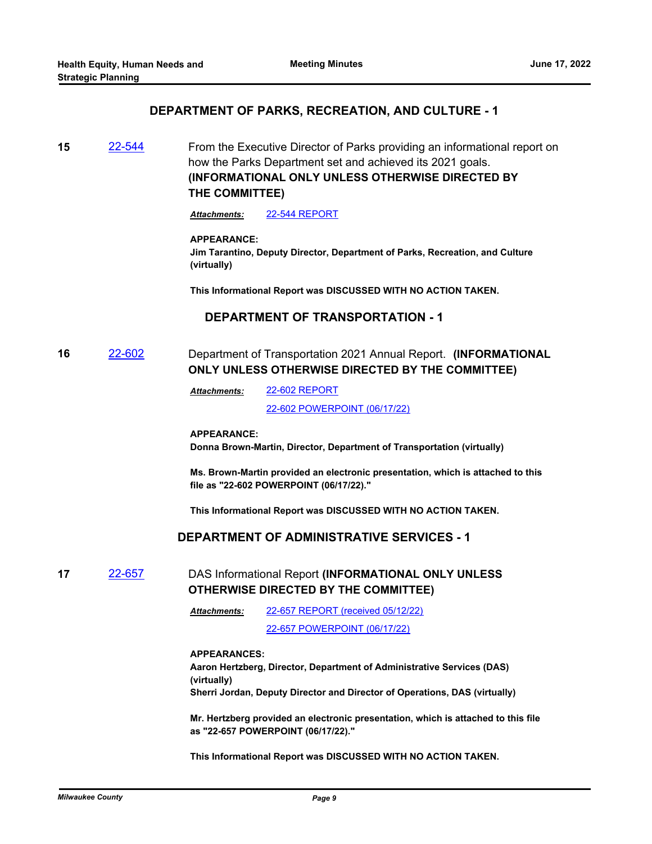## **DEPARTMENT OF PARKS, RECREATION, AND CULTURE - 1**

**15** [22-544](http://milwaukeecounty.legistar.com/gateway.aspx?m=l&id=/matter.aspx?key=12204) From the Executive Director of Parks providing an informational report on how the Parks Department set and achieved its 2021 goals. **(INFORMATIONAL ONLY UNLESS OTHERWISE DIRECTED BY THE COMMITTEE)**

*Attachments:* [22-544 REPORT](http://MilwaukeeCounty.legistar.com/gateway.aspx?M=F&ID=f5c7b4e3-872a-464c-8bbf-169f7468ebd7.pdf)

### **APPEARANCE:**

**Jim Tarantino, Deputy Director, Department of Parks, Recreation, and Culture (virtually)**

**This Informational Report was DISCUSSED WITH NO ACTION TAKEN.**

# **DEPARTMENT OF TRANSPORTATION - 1**

# **16** [22-602](http://milwaukeecounty.legistar.com/gateway.aspx?m=l&id=/matter.aspx?key=12262) Department of Transportation 2021 Annual Report. **(INFORMATIONAL ONLY UNLESS OTHERWISE DIRECTED BY THE COMMITTEE)**

[22-602 REPORT](http://MilwaukeeCounty.legistar.com/gateway.aspx?M=F&ID=317ed6e2-ed4a-444c-9960-6af5ee954f72.pdf) *Attachments:*

[22-602 POWERPOINT \(06/17/22\)](http://MilwaukeeCounty.legistar.com/gateway.aspx?M=F&ID=ebcd53dc-6004-4157-a8d7-6a4cf825acba.pptx)

## **APPEARANCE:**

**Donna Brown-Martin, Director, Department of Transportation (virtually)**

**Ms. Brown-Martin provided an electronic presentation, which is attached to this file as "22-602 POWERPOINT (06/17/22)."**

**This Informational Report was DISCUSSED WITH NO ACTION TAKEN.**

## **DEPARTMENT OF ADMINISTRATIVE SERVICES - 1**

## **17** [22-657](http://milwaukeecounty.legistar.com/gateway.aspx?m=l&id=/matter.aspx?key=12351) DAS Informational Report **(INFORMATIONAL ONLY UNLESS OTHERWISE DIRECTED BY THE COMMITTEE)**

[22-657 REPORT \(received 05/12/22\)](http://MilwaukeeCounty.legistar.com/gateway.aspx?M=F&ID=ff3e6cd9-7f59-4cf2-b64c-372ff502075c.docx) *Attachments:*

[22-657 POWERPOINT \(06/17/22\)](http://MilwaukeeCounty.legistar.com/gateway.aspx?M=F&ID=ce8858e0-ddf0-466b-8a7f-04382cc1f7f5.pdf)

#### **APPEARANCES:**

**Aaron Hertzberg, Director, Department of Administrative Services (DAS) (virtually) Sherri Jordan, Deputy Director and Director of Operations, DAS (virtually)**

**Mr. Hertzberg provided an electronic presentation, which is attached to this file as "22-657 POWERPOINT (06/17/22)."**

**This Informational Report was DISCUSSED WITH NO ACTION TAKEN.**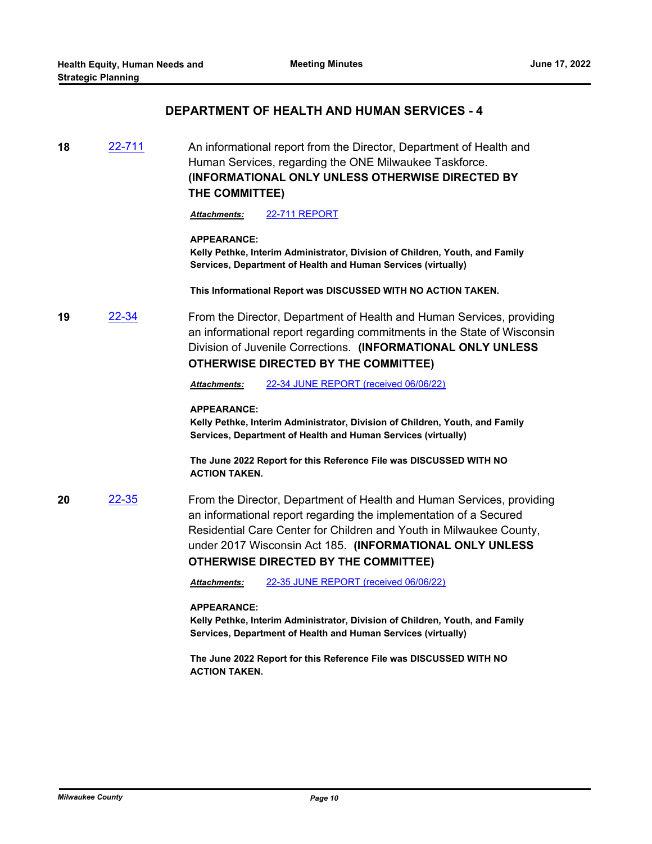# **DEPARTMENT OF HEALTH AND HUMAN SERVICES - 4**

**18** [22-711](http://milwaukeecounty.legistar.com/gateway.aspx?m=l&id=/matter.aspx?key=12410) An informational report from the Director, Department of Health and Human Services, regarding the ONE Milwaukee Taskforce. **(INFORMATIONAL ONLY UNLESS OTHERWISE DIRECTED BY THE COMMITTEE)**

*Attachments:* [22-711 REPORT](http://MilwaukeeCounty.legistar.com/gateway.aspx?M=F&ID=085aa2db-3810-46bf-91c4-f7fbb9f2b66d.pdf)

#### **APPEARANCE:**

**Kelly Pethke, Interim Administrator, Division of Children, Youth, and Family Services, Department of Health and Human Services (virtually)**

**This Informational Report was DISCUSSED WITH NO ACTION TAKEN.**

**19** [22-34](http://milwaukeecounty.legistar.com/gateway.aspx?m=l&id=/matter.aspx?key=11856) From the Director, Department of Health and Human Services, providing an informational report regarding commitments in the State of Wisconsin Division of Juvenile Corrections. **(INFORMATIONAL ONLY UNLESS OTHERWISE DIRECTED BY THE COMMITTEE)**

*Attachments:* [22-34 JUNE REPORT \(received 06/06/22\)](http://MilwaukeeCounty.legistar.com/gateway.aspx?M=F&ID=4113ec17-7135-4ef1-9ebc-ab475f1e8247.pdf)

### **APPEARANCE:**

**Kelly Pethke, Interim Administrator, Division of Children, Youth, and Family Services, Department of Health and Human Services (virtually)**

**The June 2022 Report for this Reference File was DISCUSSED WITH NO ACTION TAKEN.**

**20** [22-35](http://milwaukeecounty.legistar.com/gateway.aspx?m=l&id=/matter.aspx?key=11857) From the Director, Department of Health and Human Services, providing an informational report regarding the implementation of a Secured Residential Care Center for Children and Youth in Milwaukee County, under 2017 Wisconsin Act 185. **(INFORMATIONAL ONLY UNLESS OTHERWISE DIRECTED BY THE COMMITTEE)**

*Attachments:* [22-35 JUNE REPORT \(received 06/06/22\)](http://MilwaukeeCounty.legistar.com/gateway.aspx?M=F&ID=0ad6838e-c259-4165-b5c5-eaa3b43185e3.pdf)

#### **APPEARANCE:**

**Kelly Pethke, Interim Administrator, Division of Children, Youth, and Family Services, Department of Health and Human Services (virtually)**

**The June 2022 Report for this Reference File was DISCUSSED WITH NO ACTION TAKEN.**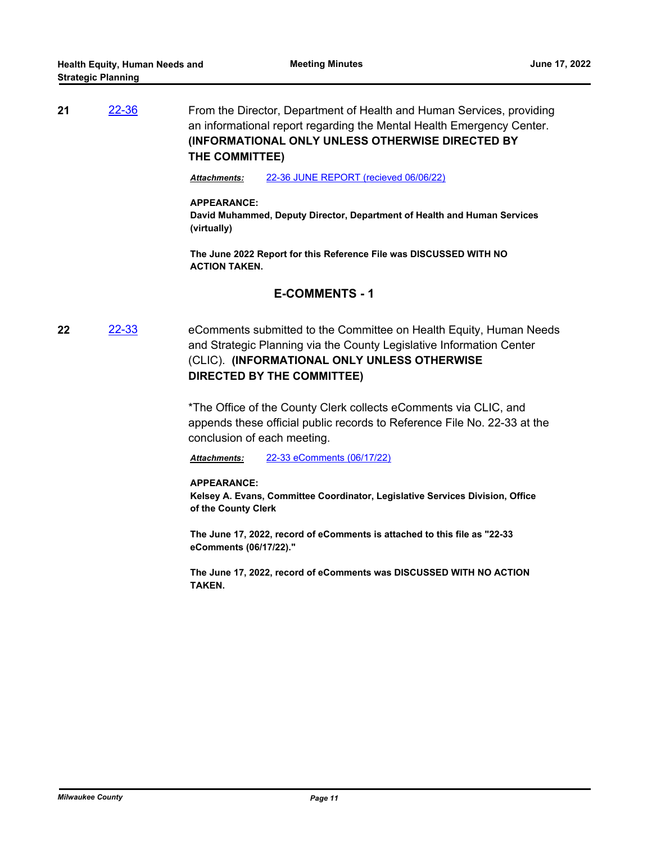**21** [22-36](http://milwaukeecounty.legistar.com/gateway.aspx?m=l&id=/matter.aspx?key=11858) From the Director, Department of Health and Human Services, providing an informational report regarding the Mental Health Emergency Center. **(INFORMATIONAL ONLY UNLESS OTHERWISE DIRECTED BY THE COMMITTEE)**

*Attachments:* [22-36 JUNE REPORT \(recieved 06/06/22\)](http://MilwaukeeCounty.legistar.com/gateway.aspx?M=F&ID=59212459-49e2-4979-849e-a9bedb10236b.pdf)

### **APPEARANCE:**

**David Muhammed, Deputy Director, Department of Health and Human Services (virtually)**

**The June 2022 Report for this Reference File was DISCUSSED WITH NO ACTION TAKEN.**

# **E-COMMENTS - 1**

**22** [22-33](http://milwaukeecounty.legistar.com/gateway.aspx?m=l&id=/matter.aspx?key=11855) eComments submitted to the Committee on Health Equity, Human Needs and Strategic Planning via the County Legislative Information Center (CLIC). **(INFORMATIONAL ONLY UNLESS OTHERWISE DIRECTED BY THE COMMITTEE)**

> \*The Office of the County Clerk collects eComments via CLIC, and appends these official public records to Reference File No. 22-33 at the conclusion of each meeting.

*Attachments:* [22-33 eComments \(06/17/22\)](http://MilwaukeeCounty.legistar.com/gateway.aspx?M=F&ID=57c6a5d1-e2df-4bee-94ed-8874f2597ed9.pdf)

## **APPEARANCE:**

**Kelsey A. Evans, Committee Coordinator, Legislative Services Division, Office of the County Clerk**

**The June 17, 2022, record of eComments is attached to this file as "22-33 eComments (06/17/22)."**

**The June 17, 2022, record of eComments was DISCUSSED WITH NO ACTION TAKEN.**